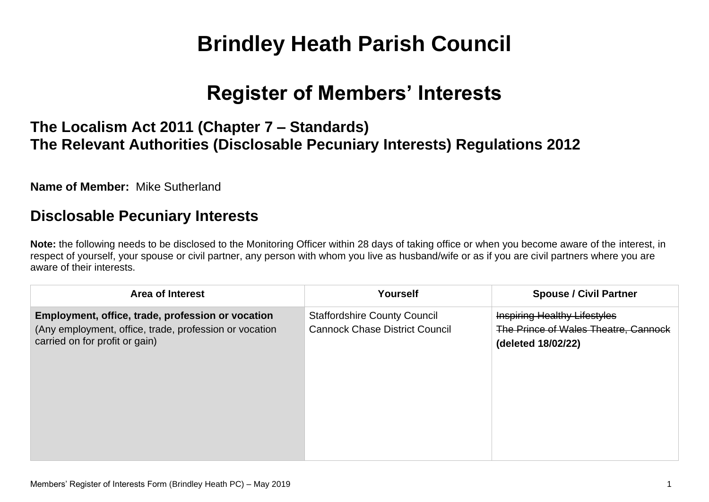# **Brindley Heath Parish Council**

# **Register of Members' Interests**

## **The Localism Act 2011 (Chapter 7 – Standards) The Relevant Authorities (Disclosable Pecuniary Interests) Regulations 2012**

**Name of Member:** Mike Sutherland

#### **Disclosable Pecuniary Interests**

**Note:** the following needs to be disclosed to the Monitoring Officer within 28 days of taking office or when you become aware of the interest, in respect of yourself, your spouse or civil partner, any person with whom you live as husband/wife or as if you are civil partners where you are aware of their interests.

| <b>Area of Interest</b>                                                                                                                       | Yourself                                                                     | <b>Spouse / Civil Partner</b>                                                                     |
|-----------------------------------------------------------------------------------------------------------------------------------------------|------------------------------------------------------------------------------|---------------------------------------------------------------------------------------------------|
| Employment, office, trade, profession or vocation<br>(Any employment, office, trade, profession or vocation<br>carried on for profit or gain) | <b>Staffordshire County Council</b><br><b>Cannock Chase District Council</b> | <b>Inspiring Healthy Lifestyles</b><br>The Prince of Wales Theatre, Cannock<br>(deleted 18/02/22) |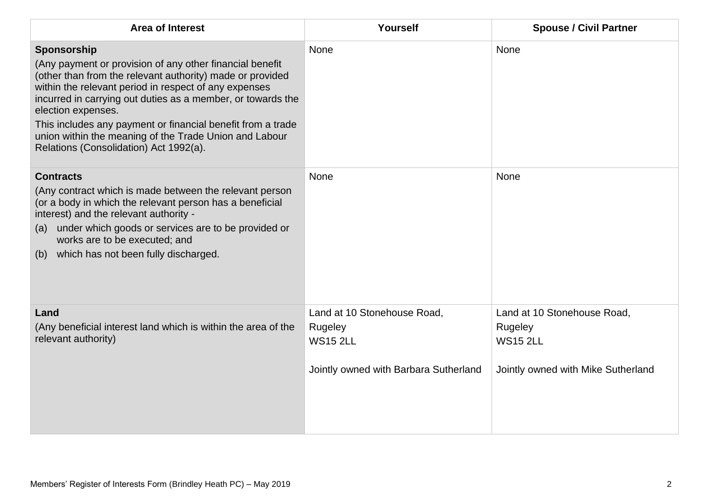| <b>Area of Interest</b>                                                                                                                                                                                                                                                                                                                                                                                                                               | Yourself                                                                                           | <b>Spouse / Civil Partner</b>                                                                   |
|-------------------------------------------------------------------------------------------------------------------------------------------------------------------------------------------------------------------------------------------------------------------------------------------------------------------------------------------------------------------------------------------------------------------------------------------------------|----------------------------------------------------------------------------------------------------|-------------------------------------------------------------------------------------------------|
| Sponsorship<br>(Any payment or provision of any other financial benefit<br>(other than from the relevant authority) made or provided<br>within the relevant period in respect of any expenses<br>incurred in carrying out duties as a member, or towards the<br>election expenses.<br>This includes any payment or financial benefit from a trade<br>union within the meaning of the Trade Union and Labour<br>Relations (Consolidation) Act 1992(a). | <b>None</b>                                                                                        | <b>None</b>                                                                                     |
| <b>Contracts</b><br>(Any contract which is made between the relevant person<br>(or a body in which the relevant person has a beneficial<br>interest) and the relevant authority -<br>(a) under which goods or services are to be provided or<br>works are to be executed; and<br>which has not been fully discharged.<br>(b)                                                                                                                          | None                                                                                               | <b>None</b>                                                                                     |
| Land<br>(Any beneficial interest land which is within the area of the<br>relevant authority)                                                                                                                                                                                                                                                                                                                                                          | Land at 10 Stonehouse Road,<br>Rugeley<br><b>WS15 2LL</b><br>Jointly owned with Barbara Sutherland | Land at 10 Stonehouse Road,<br>Rugeley<br><b>WS15 2LL</b><br>Jointly owned with Mike Sutherland |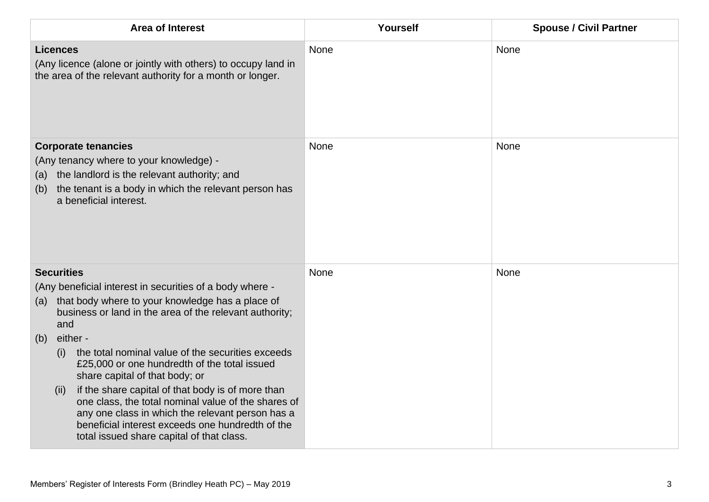| <b>Area of Interest</b>                                                                                                                                                                                                                                                                                                                                                                                                                                                                                                                                                                                                                              | Yourself | <b>Spouse / Civil Partner</b> |
|------------------------------------------------------------------------------------------------------------------------------------------------------------------------------------------------------------------------------------------------------------------------------------------------------------------------------------------------------------------------------------------------------------------------------------------------------------------------------------------------------------------------------------------------------------------------------------------------------------------------------------------------------|----------|-------------------------------|
| <b>Licences</b><br>(Any licence (alone or jointly with others) to occupy land in<br>the area of the relevant authority for a month or longer.                                                                                                                                                                                                                                                                                                                                                                                                                                                                                                        | None     | None                          |
| <b>Corporate tenancies</b><br>(Any tenancy where to your knowledge) -<br>the landlord is the relevant authority; and<br>(a)<br>the tenant is a body in which the relevant person has<br>(b)<br>a beneficial interest.                                                                                                                                                                                                                                                                                                                                                                                                                                | None     | None                          |
| <b>Securities</b><br>(Any beneficial interest in securities of a body where -<br>that body where to your knowledge has a place of<br>(a)<br>business or land in the area of the relevant authority;<br>and<br>either -<br>(b)<br>the total nominal value of the securities exceeds<br>(i)<br>£25,000 or one hundredth of the total issued<br>share capital of that body; or<br>if the share capital of that body is of more than<br>(ii)<br>one class, the total nominal value of the shares of<br>any one class in which the relevant person has a<br>beneficial interest exceeds one hundredth of the<br>total issued share capital of that class. | None     | None                          |